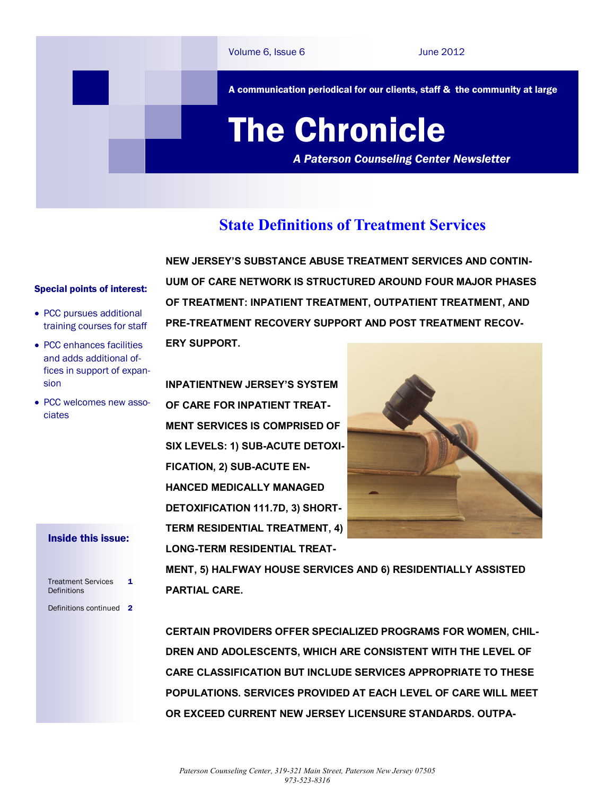

## **State Definitions of Treatment Services**

## Special points of interest:

- PCC pursues additional training courses for staff
- PCC enhances facilities and adds additional offices in support of expansion
- PCC welcomes new associates

## Inside this issue:

| <b>Treatment Services</b><br>Definitions | 1 |
|------------------------------------------|---|
| Definitions continued                    | 2 |

**NEW JERSEY'S SUBSTANCE ABUSE TREATMENT SERVICES AND CONTIN-UUM OF CARE NETWORK IS STRUCTURED AROUND FOUR MAJOR PHASES OF TREATMENT: INPATIENT TREATMENT, OUTPATIENT TREATMENT, AND PRE-TREATMENT RECOVERY SUPPORT AND POST TREATMENT RECOV-ERY SUPPORT.**

**INPATIENTNEW JERSEY'S SYSTEM OF CARE FOR INPATIENT TREAT-MENT SERVICES IS COMPRISED OF SIX LEVELS: 1) SUB-ACUTE DETOXI-FICATION, 2) SUB-ACUTE EN-HANCED MEDICALLY MANAGED DETOXIFICATION 111.7D, 3) SHORT-TERM RESIDENTIAL TREATMENT, 4) LONG-TERM RESIDENTIAL TREAT-**



**MENT, 5) HALFWAY HOUSE SERVICES AND 6) RESIDENTIALLY ASSISTED PARTIAL CARE.** 

**CERTAIN PROVIDERS OFFER SPECIALIZED PROGRAMS FOR WOMEN, CHIL-DREN AND ADOLESCENTS, WHICH ARE CONSISTENT WITH THE LEVEL OF CARE CLASSIFICATION BUT INCLUDE SERVICES APPROPRIATE TO THESE POPULATIONS. SERVICES PROVIDED AT EACH LEVEL OF CARE WILL MEET OR EXCEED CURRENT NEW JERSEY LICENSURE STANDARDS. OUTPA-**